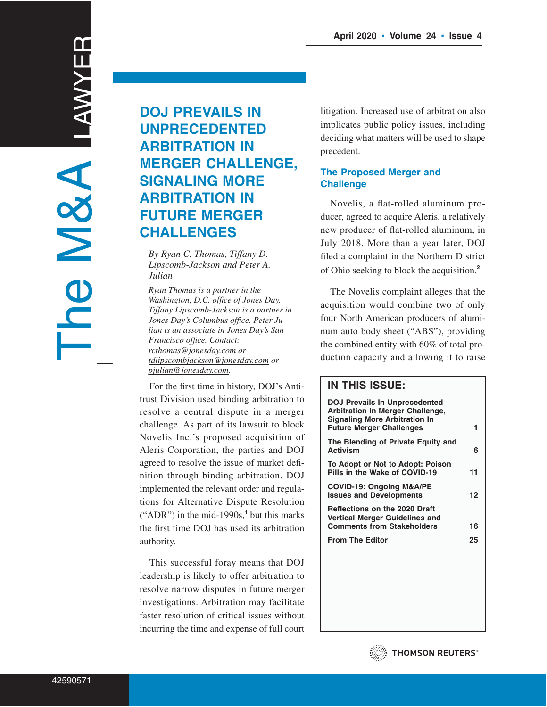# **DOJ PREVAILS IN UNPRECEDENTED ARBITRATION IN MERGER CHALLENGE, SIGNALING MORE ARBITRATION IN FUTURE MERGER CHALLENGES**

*By Ryan C. Thomas, Tiffany D. Lipscomb-Jackson and Peter A. Julian*

*Ryan Thomas is a partner in the Washington, D.C. office of Jones Day. Tiffany Lipscomb-Jackson is a partner in Jones Day's Columbus office. Peter Julian is an associate in Jones Day's San Francisco office. Contact: rcthomas@jonesday.com or tdlipscombjackson@jonesday.com or pjulian@jonesday.com.*

For the first time in history, DOJ's Antitrust Division used binding arbitration to resolve a central dispute in a merger challenge. As part of its lawsuit to block Novelis Inc.'s proposed acquisition of Aleris Corporation, the parties and DOJ agreed to resolve the issue of market definition through binding arbitration. DOJ implemented the relevant order and regulations for Alternative Dispute Resolution ("ADR") in the mid-1990s,**<sup>1</sup>** but this marks the first time DOJ has used its arbitration authority.

This successful foray means that DOJ leadership is likely to offer arbitration to resolve narrow disputes in future merger investigations. Arbitration may facilitate faster resolution of critical issues without incurring the time and expense of full court litigation. Increased use of arbitration also implicates public policy issues, including deciding what matters will be used to shape precedent.

## **The Proposed Merger and Challenge**

Novelis, a flat-rolled aluminum producer, agreed to acquire Aleris, a relatively new producer of flat-rolled aluminum, in July 2018. More than a year later, DOJ filed a complaint in the Northern District of Ohio seeking to block the acquisition.**<sup>2</sup>**

The Novelis complaint alleges that the acquisition would combine two of only four North American producers of aluminum auto body sheet ("ABS"), providing the combined entity with 60% of total production capacity and allowing it to raise

## **IN THIS ISSUE:**

| <b>DOJ Prevails In Unprecedented</b><br>Arbitration In Merger Challenge,<br><b>Signaling More Arbitration In</b><br><b>Future Merger Challenges</b> | 1  |
|-----------------------------------------------------------------------------------------------------------------------------------------------------|----|
| The Blending of Private Equity and<br><b>Activism</b>                                                                                               | 6  |
| To Adopt or Not to Adopt: Poison<br>Pills in the Wake of COVID-19                                                                                   | 11 |
| <b>COVID-19: Ongoing M&amp;A/PE</b><br><b>Issues and Developments</b>                                                                               | 12 |
| <b>Reflections on the 2020 Draft</b><br>Vertical Merger Guidelines and<br><b>Comments from Stakeholders</b>                                         | 16 |
| <b>From The Editor</b>                                                                                                                              | 25 |
|                                                                                                                                                     |    |

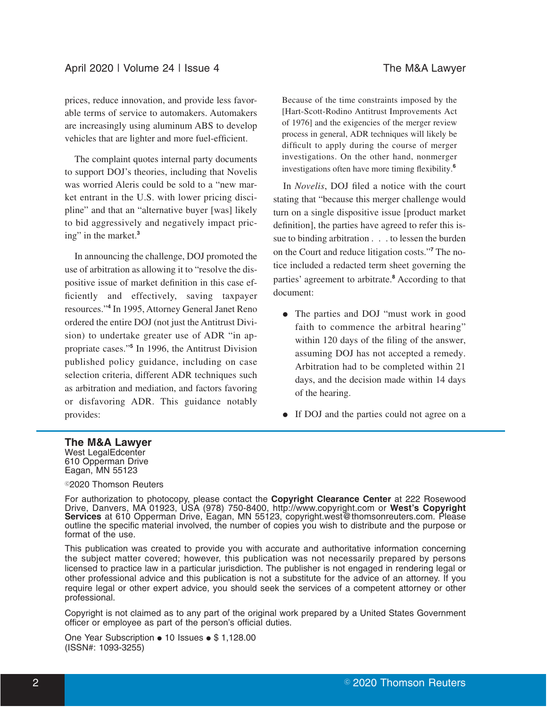prices, reduce innovation, and provide less favorable terms of service to automakers. Automakers are increasingly using aluminum ABS to develop vehicles that are lighter and more fuel-efficient.

The complaint quotes internal party documents to support DOJ's theories, including that Novelis was worried Aleris could be sold to a "new market entrant in the U.S. with lower pricing discipline" and that an "alternative buyer [was] likely to bid aggressively and negatively impact pricing" in the market.**<sup>3</sup>**

In announcing the challenge, DOJ promoted the use of arbitration as allowing it to "resolve the dispositive issue of market definition in this case efficiently and effectively, saving taxpayer resources."**<sup>4</sup>** In 1995, Attorney General Janet Reno ordered the entire DOJ (not just the Antitrust Division) to undertake greater use of ADR "in appropriate cases."**<sup>5</sup>** In 1996, the Antitrust Division published policy guidance, including on case selection criteria, different ADR techniques such as arbitration and mediation, and factors favoring or disfavoring ADR. This guidance notably provides:

Because of the time constraints imposed by the [Hart-Scott-Rodino Antitrust Improvements Act of 1976] and the exigencies of the merger review process in general, ADR techniques will likely be difficult to apply during the course of merger investigations. On the other hand, nonmerger investigations often have more timing flexibility.**<sup>6</sup>**

In *Novelis*, DOJ filed a notice with the court stating that "because this merger challenge would turn on a single dispositive issue [product market definition], the parties have agreed to refer this issue to binding arbitration . . . to lessen the burden on the Court and reduce litigation costs."**<sup>7</sup>** The notice included a redacted term sheet governing the parties' agreement to arbitrate.**<sup>8</sup>** According to that document:

- The parties and DOJ "must work in good faith to commence the arbitral hearing" within 120 days of the filing of the answer, assuming DOJ has not accepted a remedy. Arbitration had to be completed within 21 days, and the decision made within 14 days of the hearing.
- If DOJ and the parties could not agree on a

## **The M&A Lawyer**

West LegalEdcenter 610 Opperman Drive Eagan, MN 55123

## <sup>©</sup>2020 Thomson Reuters

For authorization to photocopy, please contact the **Copyright Clearance Center** at 222 Rosewood Drive, Danvers, MA 01923, USA (978) 750-8400, http://www.copyright.com or **West's Copyright Services** at 610 Opperman Drive, Eagan, MN 55123, copyright.west@thomsonreuters.com. Please outline the specific material involved, the number of copies you wish to distribute and the purpose or format of the use.

This publication was created to provide you with accurate and authoritative information concerning the subject matter covered; however, this publication was not necessarily prepared by persons licensed to practice law in a particular jurisdiction. The publisher is not engaged in rendering legal or other professional advice and this publication is not a substitute for the advice of an attorney. If you require legal or other expert advice, you should seek the services of a competent attorney or other professional.

Copyright is not claimed as to any part of the original work prepared by a United States Government officer or employee as part of the person's official duties.

One Year Subscription . 10 Issues . \$ 1,128.00 (ISSN#: 1093-3255)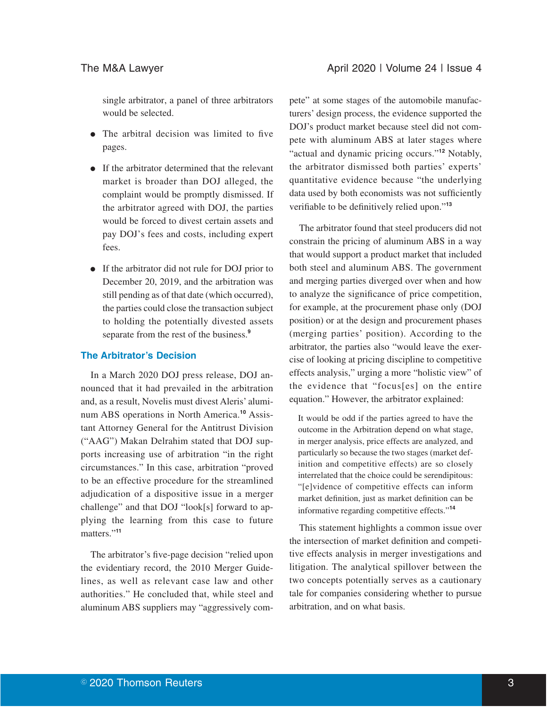single arbitrator, a panel of three arbitrators would be selected.

- The arbitral decision was limited to five pages.
- If the arbitrator determined that the relevant market is broader than DOJ alleged, the complaint would be promptly dismissed. If the arbitrator agreed with DOJ, the parties would be forced to divest certain assets and pay DOJ's fees and costs, including expert fees.
- If the arbitrator did not rule for DOJ prior to December 20, 2019, and the arbitration was still pending as of that date (which occurred), the parties could close the transaction subject to holding the potentially divested assets separate from the rest of the business.**<sup>9</sup>**

### **The Arbitrator's Decision**

In a March 2020 DOJ press release, DOJ announced that it had prevailed in the arbitration and, as a result, Novelis must divest Aleris' aluminum ABS operations in North America.**<sup>10</sup>** Assistant Attorney General for the Antitrust Division ("AAG") Makan Delrahim stated that DOJ supports increasing use of arbitration "in the right circumstances." In this case, arbitration "proved to be an effective procedure for the streamlined adjudication of a dispositive issue in a merger challenge" and that DOJ "look[s] forward to applying the learning from this case to future matters."**<sup>11</sup>**

The arbitrator's five-page decision "relied upon the evidentiary record, the 2010 Merger Guidelines, as well as relevant case law and other authorities." He concluded that, while steel and aluminum ABS suppliers may "aggressively compete" at some stages of the automobile manufacturers' design process, the evidence supported the DOJ's product market because steel did not compete with aluminum ABS at later stages where "actual and dynamic pricing occurs."**<sup>12</sup>** Notably, the arbitrator dismissed both parties' experts' quantitative evidence because "the underlying data used by both economists was not sufficiently verifiable to be definitively relied upon."**<sup>13</sup>**

The arbitrator found that steel producers did not constrain the pricing of aluminum ABS in a way that would support a product market that included both steel and aluminum ABS. The government and merging parties diverged over when and how to analyze the significance of price competition, for example, at the procurement phase only (DOJ position) or at the design and procurement phases (merging parties' position). According to the arbitrator, the parties also "would leave the exercise of looking at pricing discipline to competitive effects analysis," urging a more "holistic view" of the evidence that "focus[es] on the entire equation." However, the arbitrator explained:

It would be odd if the parties agreed to have the outcome in the Arbitration depend on what stage, in merger analysis, price effects are analyzed, and particularly so because the two stages (market definition and competitive effects) are so closely interrelated that the choice could be serendipitous: "[e]vidence of competitive effects can inform market definition, just as market definition can be informative regarding competitive effects."**<sup>14</sup>**

This statement highlights a common issue over the intersection of market definition and competitive effects analysis in merger investigations and litigation. The analytical spillover between the two concepts potentially serves as a cautionary tale for companies considering whether to pursue arbitration, and on what basis.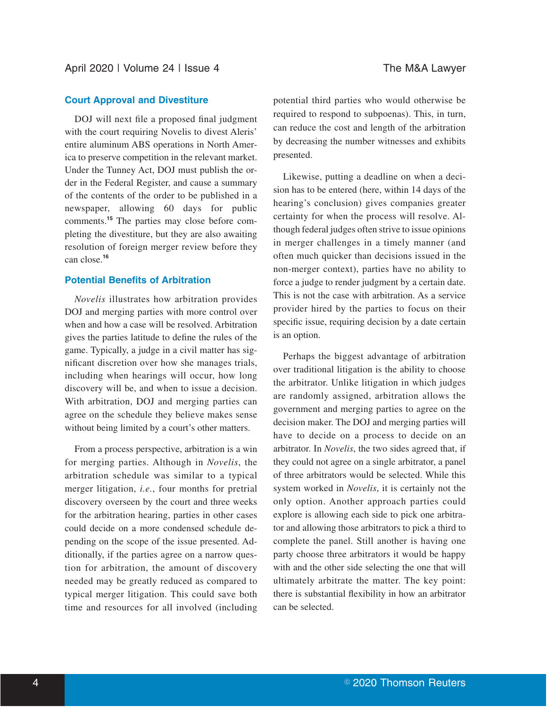## **Court Approval and Divestiture**

DOJ will next file a proposed final judgment with the court requiring Novelis to divest Aleris' entire aluminum ABS operations in North America to preserve competition in the relevant market. Under the Tunney Act, DOJ must publish the order in the Federal Register, and cause a summary of the contents of the order to be published in a newspaper, allowing 60 days for public comments.**<sup>15</sup>** The parties may close before completing the divestiture, but they are also awaiting resolution of foreign merger review before they can close.**<sup>16</sup>**

## **Potential Benefits of Arbitration**

*Novelis* illustrates how arbitration provides DOJ and merging parties with more control over when and how a case will be resolved. Arbitration gives the parties latitude to define the rules of the game. Typically, a judge in a civil matter has significant discretion over how she manages trials, including when hearings will occur, how long discovery will be, and when to issue a decision. With arbitration, DOJ and merging parties can agree on the schedule they believe makes sense without being limited by a court's other matters.

From a process perspective, arbitration is a win for merging parties. Although in *Novelis*, the arbitration schedule was similar to a typical merger litigation, *i.e.*, four months for pretrial discovery overseen by the court and three weeks for the arbitration hearing, parties in other cases could decide on a more condensed schedule depending on the scope of the issue presented. Additionally, if the parties agree on a narrow question for arbitration, the amount of discovery needed may be greatly reduced as compared to typical merger litigation. This could save both time and resources for all involved (including potential third parties who would otherwise be required to respond to subpoenas). This, in turn, can reduce the cost and length of the arbitration by decreasing the number witnesses and exhibits presented.

Likewise, putting a deadline on when a decision has to be entered (here, within 14 days of the hearing's conclusion) gives companies greater certainty for when the process will resolve. Although federal judges often strive to issue opinions in merger challenges in a timely manner (and often much quicker than decisions issued in the non-merger context), parties have no ability to force a judge to render judgment by a certain date. This is not the case with arbitration. As a service provider hired by the parties to focus on their specific issue, requiring decision by a date certain is an option.

Perhaps the biggest advantage of arbitration over traditional litigation is the ability to choose the arbitrator. Unlike litigation in which judges are randomly assigned, arbitration allows the government and merging parties to agree on the decision maker. The DOJ and merging parties will have to decide on a process to decide on an arbitrator. In *Novelis*, the two sides agreed that, if they could not agree on a single arbitrator, a panel of three arbitrators would be selected. While this system worked in *Novelis*, it is certainly not the only option. Another approach parties could explore is allowing each side to pick one arbitrator and allowing those arbitrators to pick a third to complete the panel. Still another is having one party choose three arbitrators it would be happy with and the other side selecting the one that will ultimately arbitrate the matter. The key point: there is substantial flexibility in how an arbitrator can be selected.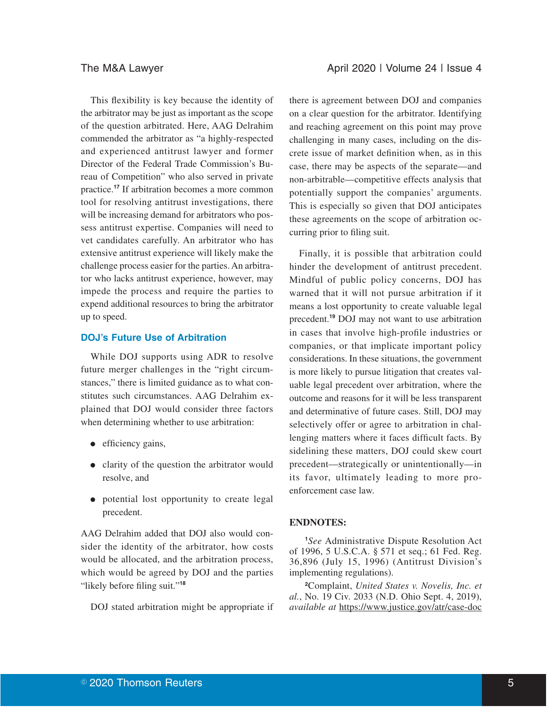This flexibility is key because the identity of the arbitrator may be just as important as the scope of the question arbitrated. Here, AAG Delrahim commended the arbitrator as "a highly-respected and experienced antitrust lawyer and former Director of the Federal Trade Commission's Bureau of Competition" who also served in private practice.**<sup>17</sup>** If arbitration becomes a more common tool for resolving antitrust investigations, there will be increasing demand for arbitrators who possess antitrust expertise. Companies will need to vet candidates carefully. An arbitrator who has extensive antitrust experience will likely make the challenge process easier for the parties. An arbitrator who lacks antitrust experience, however, may impede the process and require the parties to expend additional resources to bring the arbitrator up to speed.

### **DOJ's Future Use of Arbitration**

While DOJ supports using ADR to resolve future merger challenges in the "right circumstances," there is limited guidance as to what constitutes such circumstances. AAG Delrahim explained that DOJ would consider three factors when determining whether to use arbitration:

- $\bullet$  efficiency gains,
- clarity of the question the arbitrator would resolve, and
- potential lost opportunity to create legal precedent.

AAG Delrahim added that DOJ also would consider the identity of the arbitrator, how costs would be allocated, and the arbitration process, which would be agreed by DOJ and the parties "likely before filing suit."**<sup>18</sup>**

DOJ stated arbitration might be appropriate if

there is agreement between DOJ and companies on a clear question for the arbitrator. Identifying and reaching agreement on this point may prove challenging in many cases, including on the discrete issue of market definition when, as in this case, there may be aspects of the separate—and non-arbitrable—competitive effects analysis that potentially support the companies' arguments. This is especially so given that DOJ anticipates these agreements on the scope of arbitration occurring prior to filing suit.

Finally, it is possible that arbitration could hinder the development of antitrust precedent. Mindful of public policy concerns, DOJ has warned that it will not pursue arbitration if it means a lost opportunity to create valuable legal precedent.**<sup>19</sup>** DOJ may not want to use arbitration in cases that involve high-profile industries or companies, or that implicate important policy considerations. In these situations, the government is more likely to pursue litigation that creates valuable legal precedent over arbitration, where the outcome and reasons for it will be less transparent and determinative of future cases. Still, DOJ may selectively offer or agree to arbitration in challenging matters where it faces difficult facts. By sidelining these matters, DOJ could skew court precedent—strategically or unintentionally—in its favor, ultimately leading to more proenforcement case law.

## **ENDNOTES:**

**<sup>1</sup>***See* Administrative Dispute Resolution Act of 1996, 5 U.S.C.A. § 571 et seq.; 61 Fed. Reg. 36,896 (July 15, 1996) (Antitrust Division's implementing regulations).

**<sup>2</sup>**Complaint, *United States v. Novelis, Inc. et al.*, No. 19 Civ. 2033 (N.D. Ohio Sept. 4, 2019), *available at* https://www.justice.gov/atr/case-doc